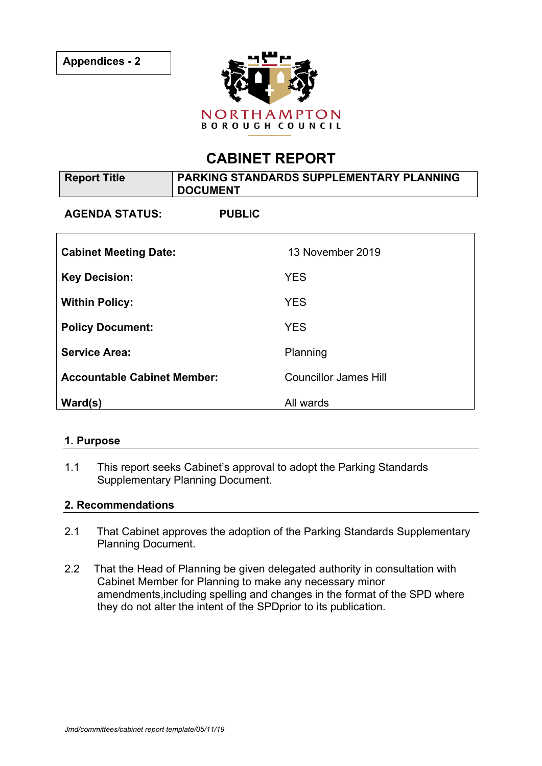

# **CABINET REPORT**

| <b>Report Title</b>                | PARKING STANDARDS SUPPLEMENTARY PLANNING<br><b>DOCUMENT</b> |                              |
|------------------------------------|-------------------------------------------------------------|------------------------------|
| <b>AGENDA STATUS:</b>              | <b>PUBLIC</b>                                               |                              |
| <b>Cabinet Meeting Date:</b>       |                                                             | 13 November 2019             |
| <b>Key Decision:</b>               |                                                             | <b>YES</b>                   |
| <b>Within Policy:</b>              |                                                             | <b>YES</b>                   |
| <b>Policy Document:</b>            |                                                             | <b>YES</b>                   |
| <b>Service Area:</b>               |                                                             | Planning                     |
| <b>Accountable Cabinet Member:</b> |                                                             | <b>Councillor James Hill</b> |
| Ward(s)                            |                                                             | All wards                    |

#### **1. Purpose**

1.1 This report seeks Cabinet's approval to adopt the Parking Standards Supplementary Planning Document.

#### **2. Recommendations**

- 2.1 That Cabinet approves the adoption of the Parking Standards Supplementary Planning Document.
- 2.2 That the Head of Planning be given delegated authority in consultation with Cabinet Member for Planning to make any necessary minor amendments,including spelling and changes in the format of the SPD where they do not alter the intent of the SPDprior to its publication.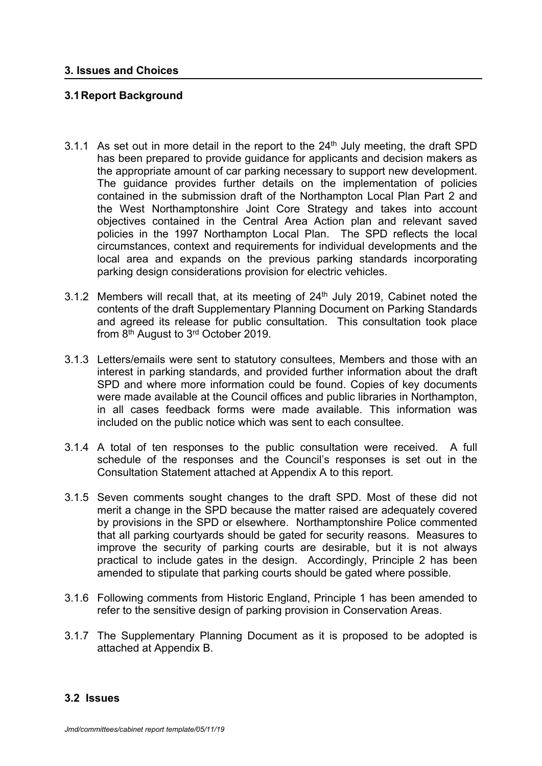## **3.1Report Background**

- 3.1.1 As set out in more detail in the report to the  $24<sup>th</sup>$  July meeting, the draft SPD has been prepared to provide guidance for applicants and decision makers as the appropriate amount of car parking necessary to support new development. The guidance provides further details on the implementation of policies contained in the submission draft of the Northampton Local Plan Part 2 and the West Northamptonshire Joint Core Strategy and takes into account objectives contained in the Central Area Action plan and relevant saved policies in the 1997 Northampton Local Plan. The SPD reflects the local circumstances, context and requirements for individual developments and the local area and expands on the previous parking standards incorporating parking design considerations provision for electric vehicles.
- 3.1.2 Members will recall that, at its meeting of  $24<sup>th</sup>$  July 2019, Cabinet noted the contents of the draft Supplementary Planning Document on Parking Standards and agreed its release for public consultation. This consultation took place from 8<sup>th</sup> August to 3<sup>rd</sup> October 2019.
- 3.1.3 Letters/emails were sent to statutory consultees, Members and those with an interest in parking standards, and provided further information about the draft SPD and where more information could be found. Copies of key documents were made available at the Council offices and public libraries in Northampton, in all cases feedback forms were made available. This information was included on the public notice which was sent to each consultee.
- 3.1.4 A total of ten responses to the public consultation were received. A full schedule of the responses and the Council's responses is set out in the Consultation Statement attached at Appendix A to this report.
- 3.1.5 Seven comments sought changes to the draft SPD. Most of these did not merit a change in the SPD because the matter raised are adequately covered by provisions in the SPD or elsewhere. Northamptonshire Police commented that all parking courtyards should be gated for security reasons. Measures to improve the security of parking courts are desirable, but it is not always practical to include gates in the design. Accordingly, Principle 2 has been amended to stipulate that parking courts should be gated where possible.
- 3.1.6 Following comments from Historic England, Principle 1 has been amended to refer to the sensitive design of parking provision in Conservation Areas.
- 3.1.7 The Supplementary Planning Document as it is proposed to be adopted is attached at Appendix B.

#### **3.2 Issues**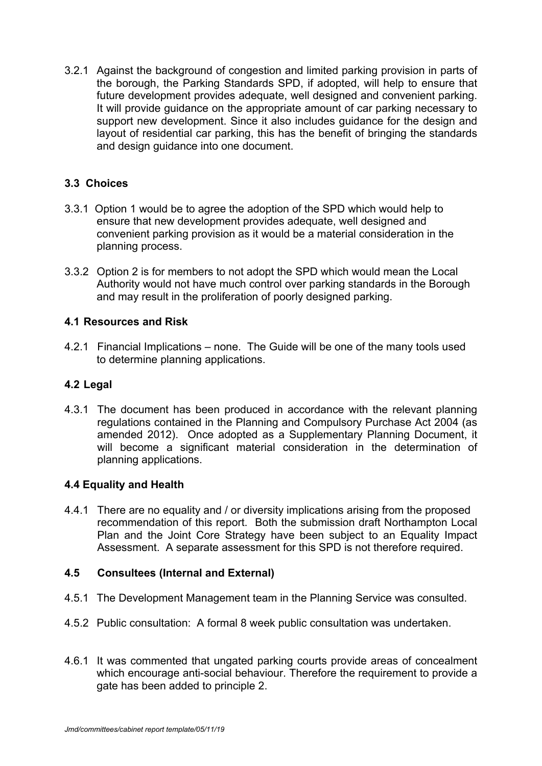3.2.1 Against the background of congestion and limited parking provision in parts of the borough, the Parking Standards SPD, if adopted, will help to ensure that future development provides adequate, well designed and convenient parking. It will provide guidance on the appropriate amount of car parking necessary to support new development. Since it also includes guidance for the design and layout of residential car parking, this has the benefit of bringing the standards and design guidance into one document.

# **3.3 Choices**

- 3.3.1 Option 1 would be to agree the adoption of the SPD which would help to ensure that new development provides adequate, well designed and convenient parking provision as it would be a material consideration in the planning process.
- 3.3.2 Option 2 is for members to not adopt the SPD which would mean the Local Authority would not have much control over parking standards in the Borough and may result in the proliferation of poorly designed parking.

## **4.1 Resources and Risk**

4.2.1 Financial Implications – none. The Guide will be one of the many tools used to determine planning applications.

## **4.2 Legal**

4.3.1 The document has been produced in accordance with the relevant planning regulations contained in the Planning and Compulsory Purchase Act 2004 (as amended 2012). Once adopted as a Supplementary Planning Document, it will become a significant material consideration in the determination of planning applications.

## **4.4 Equality and Health**

4.4.1 There are no equality and / or diversity implications arising from the proposed recommendation of this report. Both the submission draft Northampton Local Plan and the Joint Core Strategy have been subject to an Equality Impact Assessment. A separate assessment for this SPD is not therefore required.

## **4.5 Consultees (Internal and External)**

- 4.5.1 The Development Management team in the Planning Service was consulted.
- 4.5.2 Public consultation: A formal 8 week public consultation was undertaken.
- 4.6.1 It was commented that ungated parking courts provide areas of concealment which encourage anti-social behaviour. Therefore the requirement to provide a gate has been added to principle 2.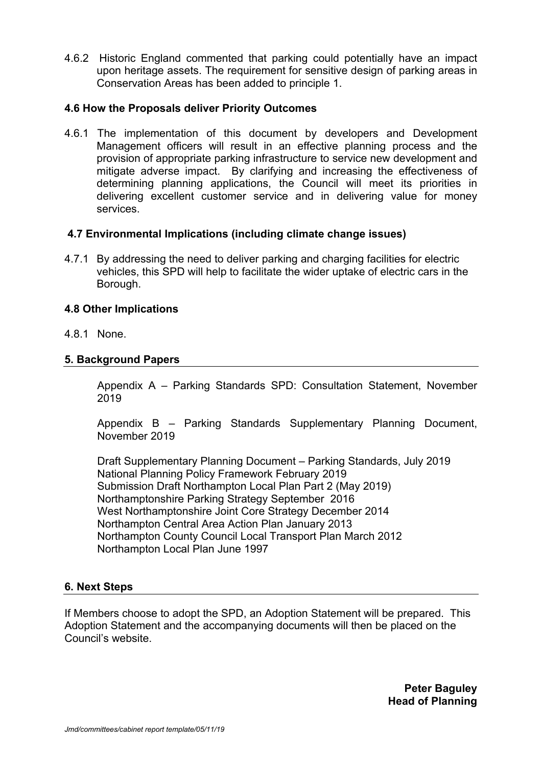4.6.2 Historic England commented that parking could potentially have an impact upon heritage assets. The requirement for sensitive design of parking areas in Conservation Areas has been added to principle 1.

#### **4.6 How the Proposals deliver Priority Outcomes**

4.6.1 The implementation of this document by developers and Development Management officers will result in an effective planning process and the provision of appropriate parking infrastructure to service new development and mitigate adverse impact. By clarifying and increasing the effectiveness of determining planning applications, the Council will meet its priorities in delivering excellent customer service and in delivering value for money services.

#### **4.7 Environmental Implications (including climate change issues)**

4.7.1 By addressing the need to deliver parking and charging facilities for electric vehicles, this SPD will help to facilitate the wider uptake of electric cars in the Borough.

## **4.8 Other Implications**

4.8.1 None.

## **5. Background Papers**

Appendix A – Parking Standards SPD: Consultation Statement, November 2019

Appendix B – Parking Standards Supplementary Planning Document, November 2019

Draft Supplementary Planning Document – Parking Standards, July 2019 National Planning Policy Framework February 2019 Submission Draft Northampton Local Plan Part 2 (May 2019) Northamptonshire Parking Strategy September 2016 West Northamptonshire Joint Core Strategy December 2014 Northampton Central Area Action Plan January 2013 Northampton County Council Local Transport Plan March 2012 Northampton Local Plan June 1997

#### **6. Next Steps**

If Members choose to adopt the SPD, an Adoption Statement will be prepared. This Adoption Statement and the accompanying documents will then be placed on the Council's website.

> **Peter Baguley Head of Planning**